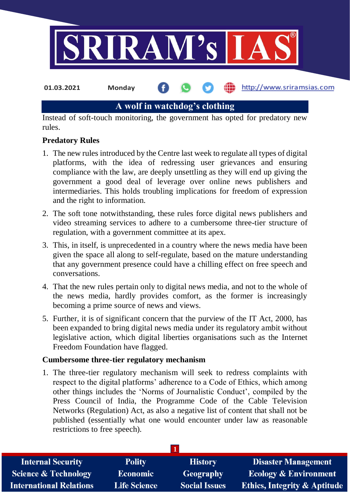

**01.03.2021 Monday**

http://www.sriramsias.com

# **A wolf in watchdog's clothing**

Instead of soft-touch monitoring, the government has opted for predatory new rules.

# **Predatory Rules**

- 1. The new rules introduced by the Centre last week to regulate all types of digital platforms, with the idea of redressing user grievances and ensuring compliance with the law, are deeply unsettling as they will end up giving the government a good deal of leverage over online news publishers and intermediaries. This holds troubling implications for freedom of expression and the right to information.
- 2. The soft tone notwithstanding, these rules force digital news publishers and video streaming services to adhere to a cumbersome three-tier structure of regulation, with a government committee at its apex.
- 3. This, in itself, is unprecedented in a country where the news media have been given the space all along to self-regulate, based on the mature understanding that any government presence could have a chilling effect on free speech and conversations.
- 4. That the new rules pertain only to digital news media, and not to the whole of the news media, hardly provides comfort, as the former is increasingly becoming a prime source of news and views.
- 5. Further, it is of significant concern that the purview of the IT Act, 2000, has been expanded to bring digital news media under its regulatory ambit without legislative action, which digital liberties organisations such as the Internet Freedom Foundation have flagged.

# **Cumbersome three-tier regulatory mechanism**

1. The three-tier regulatory mechanism will seek to redress complaints with respect to the digital platforms' adherence to a Code of Ethics, which among other things includes the 'Norms of Journalistic Conduct', compiled by the Press Council of India, the Programme Code of the Cable Television Networks (Regulation) Act, as also a negative list of content that shall not be published (essentially what one would encounter under law as reasonable restrictions to free speech).

| <b>Internal Security</b>        | <b>Polity</b>       | <b>History</b>       | <b>Disaster Management</b>              |
|---------------------------------|---------------------|----------------------|-----------------------------------------|
| <b>Science &amp; Technology</b> | <b>Economic</b>     | Geography            | <b>Ecology &amp; Environment</b>        |
| <b>International Relations</b>  | <b>Life Science</b> | <b>Social Issues</b> | <b>Ethics, Integrity &amp; Aptitude</b> |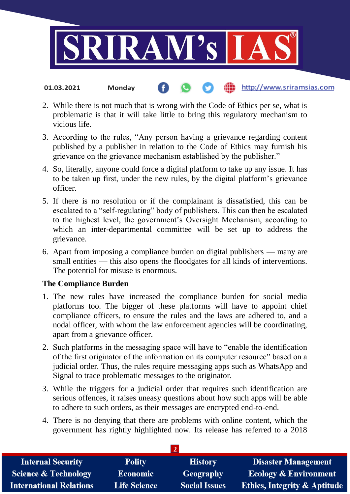

- http://www.sriramsias.com **01.03.2021 Monday**
- 2. While there is not much that is wrong with the Code of Ethics per se, what is problematic is that it will take little to bring this regulatory mechanism to vicious life.
- 3. According to the rules, "Any person having a grievance regarding content published by a publisher in relation to the Code of Ethics may furnish his grievance on the grievance mechanism established by the publisher."
- 4. So, literally, anyone could force a digital platform to take up any issue. It has to be taken up first, under the new rules, by the digital platform's grievance officer.
- 5. If there is no resolution or if the complainant is dissatisfied, this can be escalated to a "self-regulating" body of publishers. This can then be escalated to the highest level, the government's Oversight Mechanism, according to which an inter-departmental committee will be set up to address the grievance.
- 6. Apart from imposing a compliance burden on digital publishers many are small entities — this also opens the floodgates for all kinds of interventions. The potential for misuse is enormous.

# **The Compliance Burden**

- 1. The new rules have increased the compliance burden for social media platforms too. The bigger of these platforms will have to appoint chief compliance officers, to ensure the rules and the laws are adhered to, and a nodal officer, with whom the law enforcement agencies will be coordinating, apart from a grievance officer.
- 2. Such platforms in the messaging space will have to "enable the identification of the first originator of the information on its computer resource" based on a judicial order. Thus, the rules require messaging apps such as WhatsApp and Signal to trace problematic messages to the originator.
- 3. While the triggers for a judicial order that requires such identification are serious offences, it raises uneasy questions about how such apps will be able to adhere to such orders, as their messages are encrypted end-to-end.
- 4. There is no denying that there are problems with online content, which the government has rightly highlighted now. Its release has referred to a 2018

| <b>Internal Security</b>        | <b>Polity</b>       | <b>History</b>       | <b>Disaster Management</b>              |  |
|---------------------------------|---------------------|----------------------|-----------------------------------------|--|
| <b>Science &amp; Technology</b> | <b>Economic</b>     | <b>Geography</b>     | <b>Ecology &amp; Environment</b>        |  |
| <b>International Relations</b>  | <b>Life Science</b> | <b>Social Issues</b> | <b>Ethics, Integrity &amp; Aptitude</b> |  |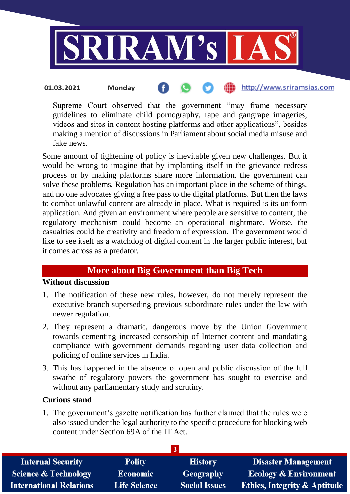

Supreme Court observed that the government "may frame necessary guidelines to eliminate child pornography, rape and gangrape imageries, videos and sites in content hosting platforms and other applications", besides making a mention of discussions in Parliament about social media misuse and fake news.

Some amount of tightening of policy is inevitable given new challenges. But it would be wrong to imagine that by implanting itself in the grievance redress process or by making platforms share more information, the government can solve these problems. Regulation has an important place in the scheme of things, and no one advocates giving a free pass to the digital platforms. But then the laws to combat unlawful content are already in place. What is required is its uniform application. And given an environment where people are sensitive to content, the regulatory mechanism could become an operational nightmare. Worse, the casualties could be creativity and freedom of expression. The government would like to see itself as a watchdog of digital content in the larger public interest, but it comes across as a predator.

# **More about Big Government than Big Tech**

# **Without discussion**

- 1. The notification of these new rules, however, do not merely represent the executive branch superseding previous subordinate rules under the law with newer regulation.
- 2. They represent a dramatic, dangerous move by the Union Government towards cementing increased censorship of Internet content and mandating compliance with government demands regarding user data collection and policing of online services in India.
- 3. This has happened in the absence of open and public discussion of the full swathe of regulatory powers the government has sought to exercise and without any parliamentary study and scrutiny.

# **Curious stand**

1. The government's gazette notification has further claimed that the rules were also issued under the legal authority to the specific procedure for blocking web content under Section 69A of the IT Act.

| <b>Internal Security</b>        | <b>Polity</b>       | <b>History</b>       | <b>Disaster Management</b>              |  |
|---------------------------------|---------------------|----------------------|-----------------------------------------|--|
| <b>Science &amp; Technology</b> | <b>Economic</b>     | Geography            | <b>Ecology &amp; Environment</b>        |  |
| <b>International Relations</b>  | <b>Life Science</b> | <b>Social Issues</b> | <b>Ethics, Integrity &amp; Aptitude</b> |  |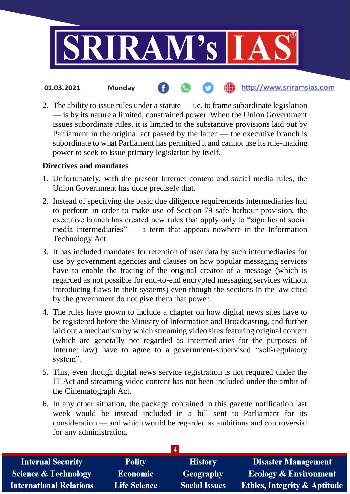

- http://www.sriramsias.com **01.03.2021 Monday**
- 2. The ability to issue rules under a statute  $\frac{d}{dx}$  i.e. to frame subordinate legislation — is by its nature a limited, constrained power. When the Union Government issues subordinate rules, it is limited to the substantive provisions laid out by Parliament in the original act passed by the latter — the executive branch is subordinate to what Parliament has permitted it and cannot use its rule-making power to seek to issue primary legislation by itself.

# **Directives and mandates**

- 1. Unfortunately, with the present Internet content and social media rules, the Union Government has done precisely that.
- 2. Instead of specifying the basic due diligence requirements intermediaries had to perform in order to make use of Section 79 safe harbour provision, the executive branch has created new rules that apply only to "significant social media intermediaries" — a term that appears nowhere in the Information Technology Act.
- 3. It has included mandates for retention of user data by such intermediaries for use by government agencies and clauses on how popular messaging services have to enable the tracing of the original creator of a message (which is regarded as not possible for end-to-end encrypted messaging services without introducing flaws in their systems) even though the sections in the law cited by the government do not give them that power.
- 4. The rules have grown to include a chapter on how digital news sites have to be registered before the Ministry of Information and Broadcasting, and further laid out a mechanism by which streaming video sites featuring original content (which are generally not regarded as intermediaries for the purposes of Internet law) have to agree to a government-supervised "self-regulatory system".
- 5. This, even though digital news service registration is not required under the IT Act and streaming video content has not been included under the ambit of the Cinematograph Act.
- 6. In any other situation, the package contained in this gazette notification last week would be instead included in a bill sent to Parliament for its consideration — and which would be regarded as ambitious and controversial for any administration.

| <b>Internal Security</b>        | <b>Polity</b>       | <b>History</b>       | <b>Disaster Management</b>              |  |
|---------------------------------|---------------------|----------------------|-----------------------------------------|--|
| <b>Science &amp; Technology</b> | <b>Economic</b>     | Geography            | <b>Ecology &amp; Environment</b>        |  |
| <b>International Relations</b>  | <b>Life Science</b> | <b>Social Issues</b> | <b>Ethics, Integrity &amp; Aptitude</b> |  |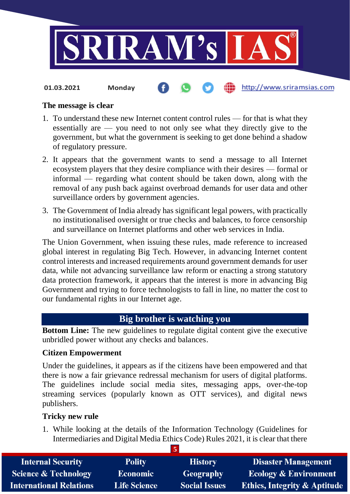

http://www.sriramsias.com **01.03.2021 Monday**

#### **The message is clear**

- 1. To understand these new Internet content control rules for that is what they essentially are — you need to not only see what they directly give to the government, but what the government is seeking to get done behind a shadow of regulatory pressure.
- 2. It appears that the government wants to send a message to all Internet ecosystem players that they desire compliance with their desires — formal or informal — regarding what content should be taken down, along with the removal of any push back against overbroad demands for user data and other surveillance orders by government agencies.
- 3. The Government of India already has significant legal powers, with practically no institutionalised oversight or true checks and balances, to force censorship and surveillance on Internet platforms and other web services in India.

The Union Government, when issuing these rules, made reference to increased global interest in regulating Big Tech. However, in advancing Internet content control interests and increased requirements around government demands for user data, while not advancing surveillance law reform or enacting a strong statutory data protection framework, it appears that the interest is more in advancing Big Government and trying to force technologists to fall in line, no matter the cost to our fundamental rights in our Internet age.

# **Big brother is watching you**

**Bottom Line:** The new guidelines to regulate digital content give the executive unbridled power without any checks and balances.

#### **Citizen Empowerment**

Under the guidelines, it appears as if the citizens have been empowered and that there is now a fair grievance redressal mechanism for users of digital platforms. The guidelines include social media sites, messaging apps, over-the-top streaming services (popularly known as OTT services), and digital news publishers.

#### **Tricky new rule**

1. While looking at the details of the Information Technology (Guidelines for Intermediaries and Digital Media Ethics Code) Rules 2021, it is clear that there

| <b>Internal Security</b>        | <b>Polity</b>       | <b>History</b>       | <b>Disaster Management</b>              |
|---------------------------------|---------------------|----------------------|-----------------------------------------|
| <b>Science &amp; Technology</b> | <b>Economic</b>     | Geography            | <b>Ecology &amp; Environment</b>        |
| <b>International Relations</b>  | <b>Life Science</b> | <b>Social Issues</b> | <b>Ethics, Integrity &amp; Aptitude</b> |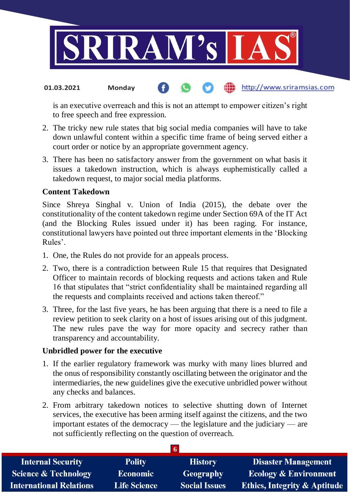

#### http://www.sriramsias.com **01.03.2021 Monday**

is an executive overreach and this is not an attempt to empower citizen's right to free speech and free expression.

- 2. The tricky new rule states that big social media companies will have to take down unlawful content within a specific time frame of being served either a court order or notice by an appropriate government agency.
- 3. There has been no satisfactory answer from the government on what basis it issues a takedown instruction, which is always euphemistically called a takedown request, to major social media platforms.

### **Content Takedown**

Since Shreya Singhal v. Union of India (2015), the debate over the constitutionality of the content takedown regime under Section 69A of the IT Act (and the Blocking Rules issued under it) has been raging. For instance, constitutional lawyers have pointed out three important elements in the 'Blocking Rules'.

- 1. One, the Rules do not provide for an appeals process.
- 2. Two, there is a contradiction between Rule 15 that requires that Designated Officer to maintain records of blocking requests and actions taken and Rule 16 that stipulates that "strict confidentiality shall be maintained regarding all the requests and complaints received and actions taken thereof."
- 3. Three, for the last five years, he has been arguing that there is a need to file a review petition to seek clarity on a host of issues arising out of this judgment. The new rules pave the way for more opacity and secrecy rather than transparency and accountability.

#### **Unbridled power for the executive**

- 1. If the earlier regulatory framework was murky with many lines blurred and the onus of responsibility constantly oscillating between the originator and the intermediaries, the new guidelines give the executive unbridled power without any checks and balances.
- 2. From arbitrary takedown notices to selective shutting down of Internet services, the executive has been arming itself against the citizens, and the two important estates of the democracy — the legislature and the judiciary — are not sufficiently reflecting on the question of overreach.

| <b>Internal Security</b>        | <b>Polity</b>       | <b>History</b>       | <b>Disaster Management</b>              |  |
|---------------------------------|---------------------|----------------------|-----------------------------------------|--|
| <b>Science &amp; Technology</b> | <b>Economic</b>     | Geography            | <b>Ecology &amp; Environment</b>        |  |
| <b>International Relations</b>  | <b>Life Science</b> | <b>Social Issues</b> | <b>Ethics, Integrity &amp; Aptitude</b> |  |